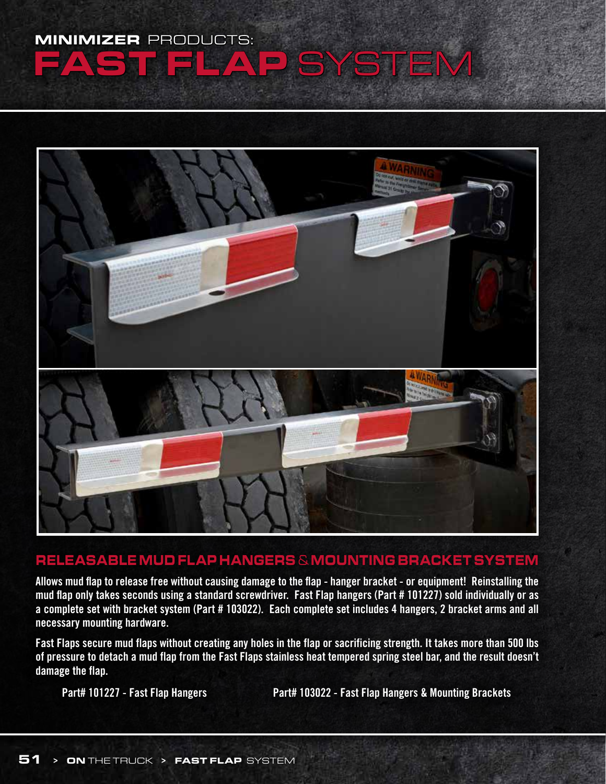## MINIMIZER PRODUCTS: AP SYSTEM



## RELEASABLE MUD FLAP HANGERS & MOUNTING BRACKET SYSTEM

**Allows mud flap to release free without causing damage to the flap - hanger bracket - or equipment! Reinstalling the mud flap only takes seconds using a standard screwdriver. Fast Flap hangers (Part # 101227) sold individually or as a complete set with bracket system (Part # 103022). Each complete set includes 4 hangers, 2 bracket arms and all necessary mounting hardware.**

**Fast Flaps secure mud flaps without creating any holes in the flap or sacrificing strength. It takes more than 500 lbs of pressure to detach a mud flap from the Fast Flaps stainless heat tempered spring steel bar, and the result doesn't damage the flap.**

Part# 101227 - Fast Flap Hangers **Part# 103022 - Fast Flap Hangers & Mounting Brackets**